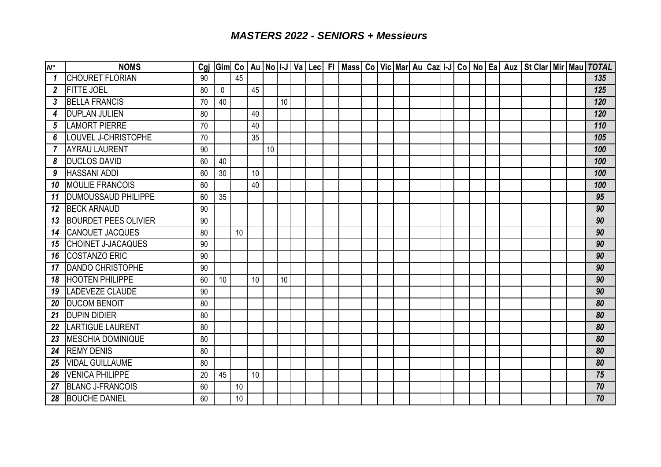| $N^{\circ}$    | <b>NOMS</b>                 | Cgj |             |    |    |    |    |  |  |  |  |  |  |  |  | Gim  Co   Au   No   I-J   Va   Lec   FI   Mass   Co   Vic   Mar  Au   Caz  I-J   Co   No   Ea   Auz   St Clar   Mir   Mau   TOTAL |
|----------------|-----------------------------|-----|-------------|----|----|----|----|--|--|--|--|--|--|--|--|-----------------------------------------------------------------------------------------------------------------------------------|
| 1              | <b>CHOURET FLORIAN</b>      | 90  |             | 45 |    |    |    |  |  |  |  |  |  |  |  | 135                                                                                                                               |
| $\overline{2}$ | <b>FITTE JOEL</b>           | 80  | $\mathbf 0$ |    | 45 |    |    |  |  |  |  |  |  |  |  | 125                                                                                                                               |
| 3              | <b>BELLA FRANCIS</b>        | 70  | 40          |    |    |    | 10 |  |  |  |  |  |  |  |  | 120                                                                                                                               |
| 4              | <b>DUPLAN JULIEN</b>        | 80  |             |    | 40 |    |    |  |  |  |  |  |  |  |  | 120                                                                                                                               |
| 5              | <b>LAMORT PIERRE</b>        | 70  |             |    | 40 |    |    |  |  |  |  |  |  |  |  | 110                                                                                                                               |
| 6              | <b>LOUVEL J-CHRISTOPHE</b>  | 70  |             |    | 35 |    |    |  |  |  |  |  |  |  |  | 105                                                                                                                               |
| $\overline{7}$ | <b>AYRAU LAURENT</b>        | 90  |             |    |    | 10 |    |  |  |  |  |  |  |  |  | 100                                                                                                                               |
| 8              | <b>DUCLOS DAVID</b>         | 60  | 40          |    |    |    |    |  |  |  |  |  |  |  |  | 100                                                                                                                               |
| 9              | <b>HASSANI ADDI</b>         | 60  | 30          |    | 10 |    |    |  |  |  |  |  |  |  |  | 100                                                                                                                               |
| 10             | <b>MOULIE FRANCOIS</b>      | 60  |             |    | 40 |    |    |  |  |  |  |  |  |  |  | 100                                                                                                                               |
| 11             | <b>DUMOUSSAUD PHILIPPE</b>  | 60  | 35          |    |    |    |    |  |  |  |  |  |  |  |  | 95                                                                                                                                |
| 12             | <b>BECK ARNAUD</b>          | 90  |             |    |    |    |    |  |  |  |  |  |  |  |  | 90                                                                                                                                |
| 13             | <b>BOURDET PEES OLIVIER</b> | 90  |             |    |    |    |    |  |  |  |  |  |  |  |  | 90                                                                                                                                |
| 14             | <b>CANOUET JACQUES</b>      | 80  |             | 10 |    |    |    |  |  |  |  |  |  |  |  | 90                                                                                                                                |
| 15             | <b>CHOINET J-JACAQUES</b>   | 90  |             |    |    |    |    |  |  |  |  |  |  |  |  | 90                                                                                                                                |
| 16             | <b>COSTANZO ERIC</b>        | 90  |             |    |    |    |    |  |  |  |  |  |  |  |  | 90                                                                                                                                |
| 17             | <b>DANDO CHRISTOPHE</b>     | 90  |             |    |    |    |    |  |  |  |  |  |  |  |  | 90                                                                                                                                |
| 18             | <b>HOOTEN PHILIPPE</b>      | 60  | 10          |    | 10 |    | 10 |  |  |  |  |  |  |  |  | 90                                                                                                                                |
| 19             | <b>LADEVEZE CLAUDE</b>      | 90  |             |    |    |    |    |  |  |  |  |  |  |  |  | 90                                                                                                                                |
| 20             | <b>DUCOM BENOIT</b>         | 80  |             |    |    |    |    |  |  |  |  |  |  |  |  | 80                                                                                                                                |
| 21             | <b>DUPIN DIDIER</b>         | 80  |             |    |    |    |    |  |  |  |  |  |  |  |  | 80                                                                                                                                |
| 22             | <b>LARTIGUE LAURENT</b>     | 80  |             |    |    |    |    |  |  |  |  |  |  |  |  | 80                                                                                                                                |
| 23             | <b>MESCHIA DOMINIQUE</b>    | 80  |             |    |    |    |    |  |  |  |  |  |  |  |  | 80                                                                                                                                |
| 24             | <b>REMY DENIS</b>           | 80  |             |    |    |    |    |  |  |  |  |  |  |  |  | 80                                                                                                                                |
| 25             | <b>VIDAL GUILLAUME</b>      | 80  |             |    |    |    |    |  |  |  |  |  |  |  |  | 80                                                                                                                                |
| 26             | <b>VENICA PHILIPPE</b>      | 20  | 45          |    | 10 |    |    |  |  |  |  |  |  |  |  | 75                                                                                                                                |
| 27             | <b>BLANC J-FRANCOIS</b>     | 60  |             | 10 |    |    |    |  |  |  |  |  |  |  |  | 70                                                                                                                                |
| 28             | <b>BOUCHE DANIEL</b>        | 60  |             | 10 |    |    |    |  |  |  |  |  |  |  |  | 70                                                                                                                                |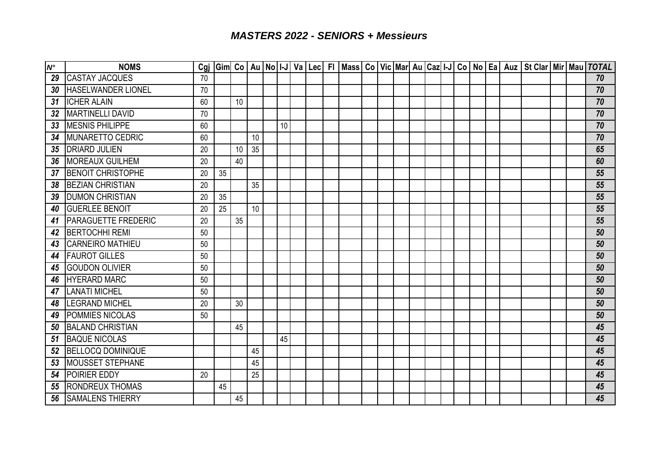| $N^{\circ}$ | <b>NOMS</b>                |    |    |    |    |    |  |  |  |  |  |  |  | Cgi Gim Co   Au   No   I-J   Va   Lec   FI   Mass   Co   Vic   Mar   Au   Caz   I-J   Co   No   Ea   Auz   St Clar   Mir   Mau   TOTAL |  |                 |
|-------------|----------------------------|----|----|----|----|----|--|--|--|--|--|--|--|----------------------------------------------------------------------------------------------------------------------------------------|--|-----------------|
| 29          | <b>CASTAY JACQUES</b>      | 70 |    |    |    |    |  |  |  |  |  |  |  |                                                                                                                                        |  | 70              |
| 30          | <b>HASELWANDER LIONEL</b>  | 70 |    |    |    |    |  |  |  |  |  |  |  |                                                                                                                                        |  | 70              |
| 31          | <b>ICHER ALAIN</b>         | 60 |    | 10 |    |    |  |  |  |  |  |  |  |                                                                                                                                        |  | 70              |
| 32          | <b>MARTINELLI DAVID</b>    | 70 |    |    |    |    |  |  |  |  |  |  |  |                                                                                                                                        |  | 70              |
| 33          | <b>MESNIS PHILIPPE</b>     | 60 |    |    |    | 10 |  |  |  |  |  |  |  |                                                                                                                                        |  | 70              |
| 34          | <b>MUNARETTO CEDRIC</b>    | 60 |    |    | 10 |    |  |  |  |  |  |  |  |                                                                                                                                        |  | $\overline{70}$ |
| 35          | <b>DRIARD JULIEN</b>       | 20 |    | 10 | 35 |    |  |  |  |  |  |  |  |                                                                                                                                        |  | 65              |
| 36          | <b>MOREAUX GUILHEM</b>     | 20 |    | 40 |    |    |  |  |  |  |  |  |  |                                                                                                                                        |  | 60              |
| 37          | <b>BENOIT CHRISTOPHE</b>   | 20 | 35 |    |    |    |  |  |  |  |  |  |  |                                                                                                                                        |  | 55              |
| 38          | <b>BEZIAN CHRISTIAN</b>    | 20 |    |    | 35 |    |  |  |  |  |  |  |  |                                                                                                                                        |  | 55              |
| 39          | <b>DUMON CHRISTIAN</b>     | 20 | 35 |    |    |    |  |  |  |  |  |  |  |                                                                                                                                        |  | 55              |
| 40          | <b>GUERLEE BENOIT</b>      | 20 | 25 |    | 10 |    |  |  |  |  |  |  |  |                                                                                                                                        |  | 55              |
| 41          | <b>PARAGUETTE FREDERIC</b> | 20 |    | 35 |    |    |  |  |  |  |  |  |  |                                                                                                                                        |  | 55              |
| 42          | <b>BERTOCHHI REMI</b>      | 50 |    |    |    |    |  |  |  |  |  |  |  |                                                                                                                                        |  | 50              |
| 43          | <b>CARNEIRO MATHIEU</b>    | 50 |    |    |    |    |  |  |  |  |  |  |  |                                                                                                                                        |  | 50              |
| 44          | <b>FAUROT GILLES</b>       | 50 |    |    |    |    |  |  |  |  |  |  |  |                                                                                                                                        |  | 50              |
| 45          | <b>GOUDON OLIVIER</b>      | 50 |    |    |    |    |  |  |  |  |  |  |  |                                                                                                                                        |  | 50              |
| 46          | <b>HYERARD MARC</b>        | 50 |    |    |    |    |  |  |  |  |  |  |  |                                                                                                                                        |  | 50              |
| 47          | <b>LANATI MICHEL</b>       | 50 |    |    |    |    |  |  |  |  |  |  |  |                                                                                                                                        |  | 50              |
| 48          | <b>LEGRAND MICHEL</b>      | 20 |    | 30 |    |    |  |  |  |  |  |  |  |                                                                                                                                        |  | 50              |
| 49          | <b>POMMIES NICOLAS</b>     | 50 |    |    |    |    |  |  |  |  |  |  |  |                                                                                                                                        |  | 50              |
| 50          | <b>BALAND CHRISTIAN</b>    |    |    | 45 |    |    |  |  |  |  |  |  |  |                                                                                                                                        |  | 45              |
| 51          | <b>BAQUE NICOLAS</b>       |    |    |    |    | 45 |  |  |  |  |  |  |  |                                                                                                                                        |  | 45              |
| 52          | <b>BELLOCQ DOMINIQUE</b>   |    |    |    | 45 |    |  |  |  |  |  |  |  |                                                                                                                                        |  | 45              |
| 53          | <b>MOUSSET STEPHANE</b>    |    |    |    | 45 |    |  |  |  |  |  |  |  |                                                                                                                                        |  | 45              |
| 54          | POIRIER EDDY               | 20 |    |    | 25 |    |  |  |  |  |  |  |  |                                                                                                                                        |  | 45              |
| 55          | <b>RONDREUX THOMAS</b>     |    | 45 |    |    |    |  |  |  |  |  |  |  |                                                                                                                                        |  | 45              |
| 56          | <b>SAMALENS THIERRY</b>    |    |    | 45 |    |    |  |  |  |  |  |  |  |                                                                                                                                        |  | 45              |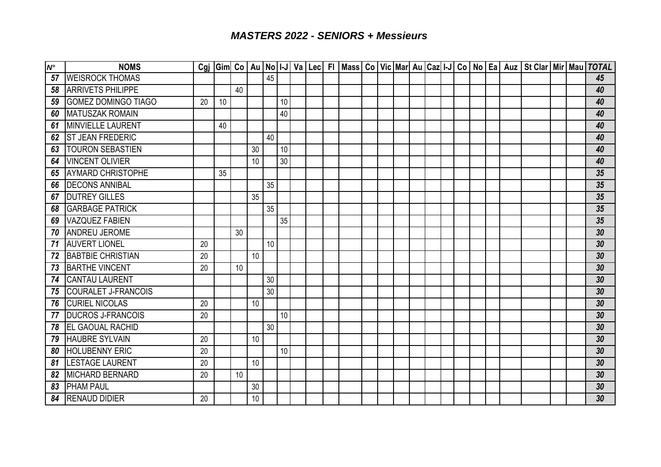| $\overline{N^{\circ}}$ | <b>NOMS</b>                |    |    |    |    |    |    |  |  |  |  |  |  |  | Cgj  Gim  Co   Au   No   I-J   Va   Lec   FI   Mass   Co   Vic   Mar   Au   Caz   I-J   Co   No   Ea   Auz   St Clar   Mir   Mau   TOTAL |  |    |
|------------------------|----------------------------|----|----|----|----|----|----|--|--|--|--|--|--|--|------------------------------------------------------------------------------------------------------------------------------------------|--|----|
| 57                     | <b>WEISROCK THOMAS</b>     |    |    |    |    | 45 |    |  |  |  |  |  |  |  |                                                                                                                                          |  | 45 |
| 58                     | <b>ARRIVETS PHILIPPE</b>   |    |    | 40 |    |    |    |  |  |  |  |  |  |  |                                                                                                                                          |  | 40 |
| 59                     | <b>GOMEZ DOMINGO TIAGO</b> | 20 | 10 |    |    |    | 10 |  |  |  |  |  |  |  |                                                                                                                                          |  | 40 |
| 60                     | <b>MATUSZAK ROMAIN</b>     |    |    |    |    |    | 40 |  |  |  |  |  |  |  |                                                                                                                                          |  | 40 |
| 61                     | <b>MINVIELLE LAURENT</b>   |    | 40 |    |    |    |    |  |  |  |  |  |  |  |                                                                                                                                          |  | 40 |
| 62                     | <b>ST JEAN FREDERIC</b>    |    |    |    |    | 40 |    |  |  |  |  |  |  |  |                                                                                                                                          |  | 40 |
| 63                     | <b>TOURON SEBASTIEN</b>    |    |    |    | 30 |    | 10 |  |  |  |  |  |  |  |                                                                                                                                          |  | 40 |
| 64                     | <b>VINCENT OLIVIER</b>     |    |    |    | 10 |    | 30 |  |  |  |  |  |  |  |                                                                                                                                          |  | 40 |
| 65                     | <b>AYMARD CHRISTOPHE</b>   |    | 35 |    |    |    |    |  |  |  |  |  |  |  |                                                                                                                                          |  | 35 |
| 66                     | <b>DECONS ANNIBAL</b>      |    |    |    |    | 35 |    |  |  |  |  |  |  |  |                                                                                                                                          |  | 35 |
| 67                     | <b>DUTREY GILLES</b>       |    |    |    | 35 |    |    |  |  |  |  |  |  |  |                                                                                                                                          |  | 35 |
| 68                     | <b>GARBAGE PATRICK</b>     |    |    |    |    | 35 |    |  |  |  |  |  |  |  |                                                                                                                                          |  | 35 |
| 69                     | <b>VAZQUEZ FABIEN</b>      |    |    |    |    |    | 35 |  |  |  |  |  |  |  |                                                                                                                                          |  | 35 |
| 70                     | <b>ANDREU JEROME</b>       |    |    | 30 |    |    |    |  |  |  |  |  |  |  |                                                                                                                                          |  | 30 |
| 71                     | <b>AUVERT LIONEL</b>       | 20 |    |    |    | 10 |    |  |  |  |  |  |  |  |                                                                                                                                          |  | 30 |
| 72                     | <b>BABTBIE CHRISTIAN</b>   | 20 |    |    | 10 |    |    |  |  |  |  |  |  |  |                                                                                                                                          |  | 30 |
| 73                     | <b>BARTHE VINCENT</b>      | 20 |    | 10 |    |    |    |  |  |  |  |  |  |  |                                                                                                                                          |  | 30 |
| 74                     | <b>CANTAU LAURENT</b>      |    |    |    |    | 30 |    |  |  |  |  |  |  |  |                                                                                                                                          |  | 30 |
| 75                     | <b>COURALET J-FRANCOIS</b> |    |    |    |    | 30 |    |  |  |  |  |  |  |  |                                                                                                                                          |  | 30 |
| 76                     | <b>CURIEL NICOLAS</b>      | 20 |    |    | 10 |    |    |  |  |  |  |  |  |  |                                                                                                                                          |  | 30 |
| 77                     | <b>DUCROS J-FRANCOIS</b>   | 20 |    |    |    |    | 10 |  |  |  |  |  |  |  |                                                                                                                                          |  | 30 |
| 78                     | <b>EL GAOUAL RACHID</b>    |    |    |    |    | 30 |    |  |  |  |  |  |  |  |                                                                                                                                          |  | 30 |
| 79                     | <b>HAUBRE SYLVAIN</b>      | 20 |    |    | 10 |    |    |  |  |  |  |  |  |  |                                                                                                                                          |  | 30 |
| 80                     | <b>HOLUBENNY ERIC</b>      | 20 |    |    |    |    | 10 |  |  |  |  |  |  |  |                                                                                                                                          |  | 30 |
| 81                     | <b>LESTAGE LAURENT</b>     | 20 |    |    | 10 |    |    |  |  |  |  |  |  |  |                                                                                                                                          |  | 30 |
| 82                     | <b>MICHARD BERNARD</b>     | 20 |    | 10 |    |    |    |  |  |  |  |  |  |  |                                                                                                                                          |  | 30 |
| 83                     | <b>PHAM PAUL</b>           |    |    |    | 30 |    |    |  |  |  |  |  |  |  |                                                                                                                                          |  | 30 |
| 84                     | <b>RENAUD DIDIER</b>       | 20 |    |    | 10 |    |    |  |  |  |  |  |  |  |                                                                                                                                          |  | 30 |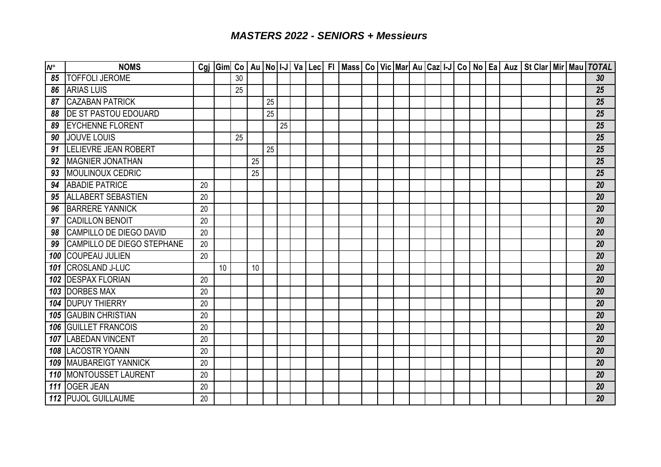| $\boldsymbol{N}^{\circ}$ | <b>NOMS</b>                       |    |    |    |    |    |    |  |  |  |  |  |  |  | Cgj  Gim  Co   Au   No   I-J   Va   Lec   FI   Mass   Co   Vic   Mar  Au   Caz  I-J   Co   No   Ea   Auz   St Clar   Mir   Mau   TOTAL |  |    |
|--------------------------|-----------------------------------|----|----|----|----|----|----|--|--|--|--|--|--|--|----------------------------------------------------------------------------------------------------------------------------------------|--|----|
| 85                       | <b>TOFFOLI JEROME</b>             |    |    | 30 |    |    |    |  |  |  |  |  |  |  |                                                                                                                                        |  | 30 |
| 86                       | <b>ARIAS LUIS</b>                 |    |    | 25 |    |    |    |  |  |  |  |  |  |  |                                                                                                                                        |  | 25 |
| 87                       | <b>CAZABAN PATRICK</b>            |    |    |    |    | 25 |    |  |  |  |  |  |  |  |                                                                                                                                        |  | 25 |
| 88                       | <b>DE ST PASTOU EDOUARD</b>       |    |    |    |    | 25 |    |  |  |  |  |  |  |  |                                                                                                                                        |  | 25 |
| 89                       | <b>IEYCHENNE FLORENT</b>          |    |    |    |    |    | 25 |  |  |  |  |  |  |  |                                                                                                                                        |  | 25 |
| 90                       | JOUVE LOUIS                       |    |    | 25 |    |    |    |  |  |  |  |  |  |  |                                                                                                                                        |  | 25 |
| 91                       | <b>LELIEVRE JEAN ROBERT</b>       |    |    |    |    | 25 |    |  |  |  |  |  |  |  |                                                                                                                                        |  | 25 |
| 92                       | <b>MAGNIER JONATHAN</b>           |    |    |    | 25 |    |    |  |  |  |  |  |  |  |                                                                                                                                        |  | 25 |
| 93                       | <b>MOULINOUX CEDRIC</b>           |    |    |    | 25 |    |    |  |  |  |  |  |  |  |                                                                                                                                        |  | 25 |
| 94                       | <b>ABADIE PATRICE</b>             | 20 |    |    |    |    |    |  |  |  |  |  |  |  |                                                                                                                                        |  | 20 |
| 95                       | <b>ALLABERT SEBASTIEN</b>         | 20 |    |    |    |    |    |  |  |  |  |  |  |  |                                                                                                                                        |  | 20 |
| 96                       | <b>BARRERE YANNICK</b>            | 20 |    |    |    |    |    |  |  |  |  |  |  |  |                                                                                                                                        |  | 20 |
| 97                       | <b>CADILLON BENOIT</b>            | 20 |    |    |    |    |    |  |  |  |  |  |  |  |                                                                                                                                        |  | 20 |
| 98                       | CAMPILLO DE DIEGO DAVID           | 20 |    |    |    |    |    |  |  |  |  |  |  |  |                                                                                                                                        |  | 20 |
| 99                       | <b>CAMPILLO DE DIEGO STEPHANE</b> | 20 |    |    |    |    |    |  |  |  |  |  |  |  |                                                                                                                                        |  | 20 |
| 100                      | <b>COUPEAU JULIEN</b>             | 20 |    |    |    |    |    |  |  |  |  |  |  |  |                                                                                                                                        |  | 20 |
| 101                      | <b>CROSLAND J-LUC</b>             |    | 10 |    | 10 |    |    |  |  |  |  |  |  |  |                                                                                                                                        |  | 20 |
|                          | 102 <b>DESPAX FLORIAN</b>         | 20 |    |    |    |    |    |  |  |  |  |  |  |  |                                                                                                                                        |  | 20 |
|                          | 103 DORBES MAX                    | 20 |    |    |    |    |    |  |  |  |  |  |  |  |                                                                                                                                        |  | 20 |
|                          | <b>104 DUPUY THIERRY</b>          | 20 |    |    |    |    |    |  |  |  |  |  |  |  |                                                                                                                                        |  | 20 |
|                          | <b>105 GAUBIN CHRISTIAN</b>       | 20 |    |    |    |    |    |  |  |  |  |  |  |  |                                                                                                                                        |  | 20 |
|                          | <b>106 GUILLET FRANCOIS</b>       | 20 |    |    |    |    |    |  |  |  |  |  |  |  |                                                                                                                                        |  | 20 |
|                          | 107 LABEDAN VINCENT               | 20 |    |    |    |    |    |  |  |  |  |  |  |  |                                                                                                                                        |  | 20 |
|                          | <b>108 LACOSTR YOANN</b>          | 20 |    |    |    |    |    |  |  |  |  |  |  |  |                                                                                                                                        |  | 20 |
|                          | 109 MAUBAREIGT YANNICK            | 20 |    |    |    |    |    |  |  |  |  |  |  |  |                                                                                                                                        |  | 20 |
|                          | 110 MONTOUSSET LAURENT            | 20 |    |    |    |    |    |  |  |  |  |  |  |  |                                                                                                                                        |  | 20 |
| 111                      | <b>OGER JEAN</b>                  | 20 |    |    |    |    |    |  |  |  |  |  |  |  |                                                                                                                                        |  | 20 |
|                          | 112 PUJOL GUILLAUME               | 20 |    |    |    |    |    |  |  |  |  |  |  |  |                                                                                                                                        |  | 20 |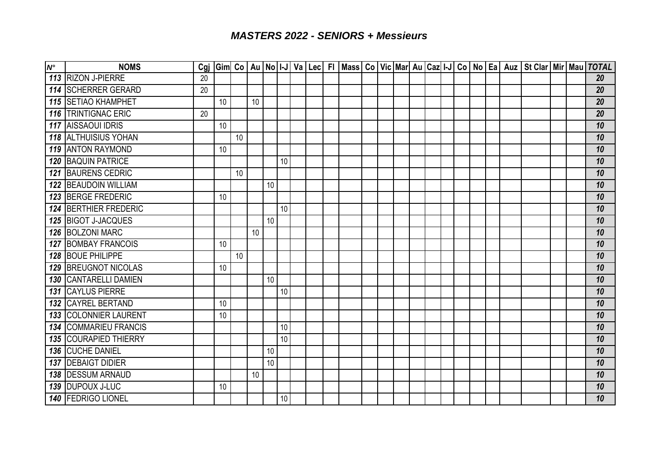| $N^{\circ}$ | <b>NOMS</b>                  | Cgi |    |    |    |    |    |  |  |  |  |  |  |  | Gim  Co   Au   No   I-J   Va   Lec   FI   Mass   Co   Vic   Mar   Au   Caz   I-J   Co   No   Ea   Auz   St Clar   Mir   Mau   TOTAL |  |    |
|-------------|------------------------------|-----|----|----|----|----|----|--|--|--|--|--|--|--|-------------------------------------------------------------------------------------------------------------------------------------|--|----|
|             | 113 RIZON J-PIERRE           | 20  |    |    |    |    |    |  |  |  |  |  |  |  |                                                                                                                                     |  | 20 |
|             | 114 SCHERRER GERARD          | 20  |    |    |    |    |    |  |  |  |  |  |  |  |                                                                                                                                     |  | 20 |
|             | <b>115 SETIAO KHAMPHET</b>   |     | 10 |    | 10 |    |    |  |  |  |  |  |  |  |                                                                                                                                     |  | 20 |
|             | 116 TRINTIGNAC ERIC          | 20  |    |    |    |    |    |  |  |  |  |  |  |  |                                                                                                                                     |  | 20 |
|             | <b>117 AISSAOUI IDRIS</b>    |     | 10 |    |    |    |    |  |  |  |  |  |  |  |                                                                                                                                     |  | 10 |
|             | <b>118 ALTHUISIUS YOHAN</b>  |     |    | 10 |    |    |    |  |  |  |  |  |  |  |                                                                                                                                     |  | 10 |
|             | <b>119 ANTON RAYMOND</b>     |     | 10 |    |    |    |    |  |  |  |  |  |  |  |                                                                                                                                     |  | 10 |
|             | <b>120 BAQUIN PATRICE</b>    |     |    |    |    |    | 10 |  |  |  |  |  |  |  |                                                                                                                                     |  | 10 |
|             | <b>121 BAURENS CEDRIC</b>    |     |    | 10 |    |    |    |  |  |  |  |  |  |  |                                                                                                                                     |  | 10 |
|             | 122 BEAUDOIN WILLIAM         |     |    |    |    | 10 |    |  |  |  |  |  |  |  |                                                                                                                                     |  | 10 |
|             | 123 BERGE FREDERIC           |     | 10 |    |    |    |    |  |  |  |  |  |  |  |                                                                                                                                     |  | 10 |
|             | 124 BERTHIER FREDERIC        |     |    |    |    |    | 10 |  |  |  |  |  |  |  |                                                                                                                                     |  | 10 |
|             | 125 BIGOT J-JACQUES          |     |    |    |    | 10 |    |  |  |  |  |  |  |  |                                                                                                                                     |  | 10 |
|             | 126 BOLZONI MARC             |     |    |    | 10 |    |    |  |  |  |  |  |  |  |                                                                                                                                     |  | 10 |
|             | <b>127 BOMBAY FRANCOIS</b>   |     | 10 |    |    |    |    |  |  |  |  |  |  |  |                                                                                                                                     |  | 10 |
|             | 128 BOUE PHILIPPE            |     |    | 10 |    |    |    |  |  |  |  |  |  |  |                                                                                                                                     |  | 10 |
|             | 129 BREUGNOT NICOLAS         |     | 10 |    |    |    |    |  |  |  |  |  |  |  |                                                                                                                                     |  | 10 |
| 130         | <b>CANTARELLI DAMIEN</b>     |     |    |    |    | 10 |    |  |  |  |  |  |  |  |                                                                                                                                     |  | 10 |
| 131         | <b>CAYLUS PIERRE</b>         |     |    |    |    |    | 10 |  |  |  |  |  |  |  |                                                                                                                                     |  | 10 |
|             | 132 CAYREL BERTAND           |     | 10 |    |    |    |    |  |  |  |  |  |  |  |                                                                                                                                     |  | 10 |
|             | 133 COLONNIER LAURENT        |     | 10 |    |    |    |    |  |  |  |  |  |  |  |                                                                                                                                     |  | 10 |
|             | <b>134 COMMARIEU FRANCIS</b> |     |    |    |    |    | 10 |  |  |  |  |  |  |  |                                                                                                                                     |  | 10 |
|             | <b>135 COURAPIED THIERRY</b> |     |    |    |    |    | 10 |  |  |  |  |  |  |  |                                                                                                                                     |  | 10 |
| 136         | <b>CUCHE DANIEL</b>          |     |    |    |    | 10 |    |  |  |  |  |  |  |  |                                                                                                                                     |  | 10 |
| 137         | <b>DEBAIGT DIDIER</b>        |     |    |    |    | 10 |    |  |  |  |  |  |  |  |                                                                                                                                     |  | 10 |
|             | <b>138 DESSUM ARNAUD</b>     |     |    |    | 10 |    |    |  |  |  |  |  |  |  |                                                                                                                                     |  | 10 |
|             | 139 DUPOUX J-LUC             |     | 10 |    |    |    |    |  |  |  |  |  |  |  |                                                                                                                                     |  | 10 |
|             | 140 FEDRIGO LIONEL           |     |    |    |    |    | 10 |  |  |  |  |  |  |  |                                                                                                                                     |  | 10 |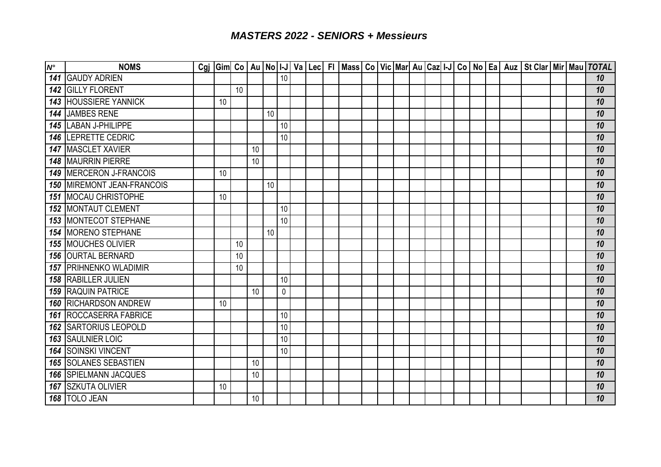| $N^{\circ}$ | <b>NOMS</b>                         |    |    |    |    |           |  |  |  |  |  |  |  | Cgj  Gim  Co   Au   No   I-J   Va   Lec   FI   Mass   Co   Vic   Mar   Au   Caz   I-J   Co   No   Ea   Auz   St Clar   Mir   Mau   TOTAL |  |    |
|-------------|-------------------------------------|----|----|----|----|-----------|--|--|--|--|--|--|--|------------------------------------------------------------------------------------------------------------------------------------------|--|----|
| 141         | <b>GAUDY ADRIEN</b>                 |    |    |    |    | 10        |  |  |  |  |  |  |  |                                                                                                                                          |  | 10 |
| 142         | <b>GILLY FLORENT</b>                |    | 10 |    |    |           |  |  |  |  |  |  |  |                                                                                                                                          |  | 10 |
| 143         | <b>HOUSSIERE YANNICK</b>            | 10 |    |    |    |           |  |  |  |  |  |  |  |                                                                                                                                          |  | 10 |
| 144         | JAMBES RENE                         |    |    |    | 10 |           |  |  |  |  |  |  |  |                                                                                                                                          |  | 10 |
| 145         | <b>LABAN J-PHILIPPE</b>             |    |    |    |    | 10        |  |  |  |  |  |  |  |                                                                                                                                          |  | 10 |
| 146         | <b>LEPRETTE CEDRIC</b>              |    |    |    |    | 10        |  |  |  |  |  |  |  |                                                                                                                                          |  | 10 |
| 147         | <b>MASCLET XAVIER</b>               |    |    | 10 |    |           |  |  |  |  |  |  |  |                                                                                                                                          |  | 10 |
| 148         | <b>MAURRIN PIERRE</b>               |    |    | 10 |    |           |  |  |  |  |  |  |  |                                                                                                                                          |  | 10 |
| 149         | MERCERON J-FRANCOIS                 | 10 |    |    |    |           |  |  |  |  |  |  |  |                                                                                                                                          |  | 10 |
|             | <b>150   MIREMONT JEAN-FRANCOIS</b> |    |    |    | 10 |           |  |  |  |  |  |  |  |                                                                                                                                          |  | 10 |
|             | <b>151 MOCAU CHRISTOPHE</b>         | 10 |    |    |    |           |  |  |  |  |  |  |  |                                                                                                                                          |  | 10 |
| 152         | <b>MONTAUT CLEMENT</b>              |    |    |    |    | 10        |  |  |  |  |  |  |  |                                                                                                                                          |  | 10 |
|             | <b>153 IMONTECOT STEPHANE</b>       |    |    |    |    | 10        |  |  |  |  |  |  |  |                                                                                                                                          |  | 10 |
| 154         | <b>MORENO STEPHANE</b>              |    |    |    | 10 |           |  |  |  |  |  |  |  |                                                                                                                                          |  | 10 |
| 155         | <b>MOUCHES OLIVIER</b>              |    | 10 |    |    |           |  |  |  |  |  |  |  |                                                                                                                                          |  | 10 |
| 156         | <b>OURTAL BERNARD</b>               |    | 10 |    |    |           |  |  |  |  |  |  |  |                                                                                                                                          |  | 10 |
| 157         | <b>PRIHNENKO WLADIMIR</b>           |    | 10 |    |    |           |  |  |  |  |  |  |  |                                                                                                                                          |  | 10 |
| 158         | <b>RABILLER JULIEN</b>              |    |    |    |    | 10        |  |  |  |  |  |  |  |                                                                                                                                          |  | 10 |
| 159         | <b>RAQUIN PATRICE</b>               |    |    | 10 |    | $\pmb{0}$ |  |  |  |  |  |  |  |                                                                                                                                          |  | 10 |
| 160         | <b>RICHARDSON ANDREW</b>            | 10 |    |    |    |           |  |  |  |  |  |  |  |                                                                                                                                          |  | 10 |
|             | <b>161 ROCCASERRA FABRICE</b>       |    |    |    |    | 10        |  |  |  |  |  |  |  |                                                                                                                                          |  | 10 |
| 162         | <b>SARTORIUS LEOPOLD</b>            |    |    |    |    | 10        |  |  |  |  |  |  |  |                                                                                                                                          |  | 10 |
| 163         | <b>SAULNIER LOIC</b>                |    |    |    |    | 10        |  |  |  |  |  |  |  |                                                                                                                                          |  | 10 |
| 164         | <b>SOINSKI VINCENT</b>              |    |    |    |    | 10        |  |  |  |  |  |  |  |                                                                                                                                          |  | 10 |
| 165         | <b>SOLANES SEBASTIEN</b>            |    |    | 10 |    |           |  |  |  |  |  |  |  |                                                                                                                                          |  | 10 |
| 166         | <b>SPIELMANN JACQUES</b>            |    |    | 10 |    |           |  |  |  |  |  |  |  |                                                                                                                                          |  | 10 |
| 167         | <b>SZKUTA OLIVIER</b>               | 10 |    |    |    |           |  |  |  |  |  |  |  |                                                                                                                                          |  | 10 |
|             | 168 TOLO JEAN                       |    |    | 10 |    |           |  |  |  |  |  |  |  |                                                                                                                                          |  | 10 |